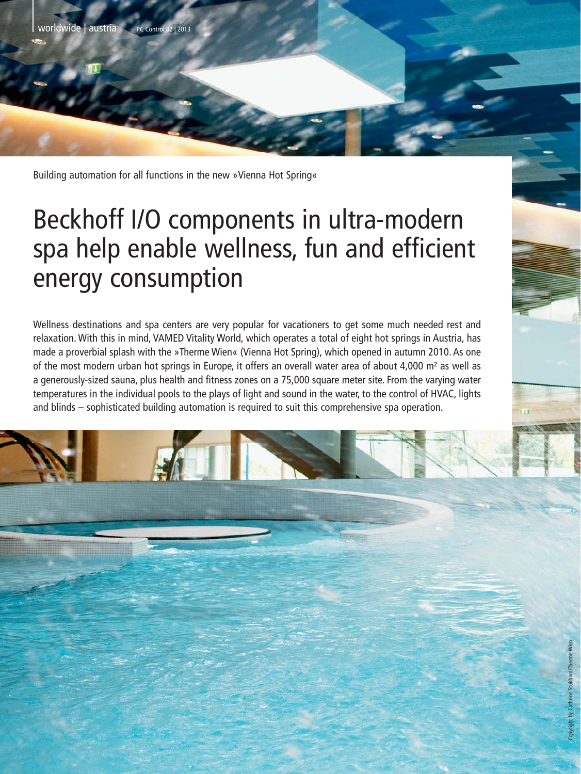

Building automation for all functions in the new »Vienna Hot Spring«

# Beckhoff I/O components in ultra-modern spa help enable wellness, fun and efficient energy consumption

Wellness destinations and spa centers are very popular for vacationers to get some much needed rest and relaxation. With this in mind, VAMED Vitality World, which operates a total of eight hot springs in Austria, has made a proverbial splash with the »Therme Wien« (Vienna Hot Spring), which opened in autumn 2010. As one of the most modern urban hot springs in Europe, it offers an overall water area of about 4,000 m² as well as a generously-sized sauna, plus health and fitness zones on a 75,000 square meter site. From the varying water temperatures in the individual pools to the plays of light and sound in the water, to the control of HVAC, lights and blinds – sophisticated building automation is required to suit this comprehensive spa operation.

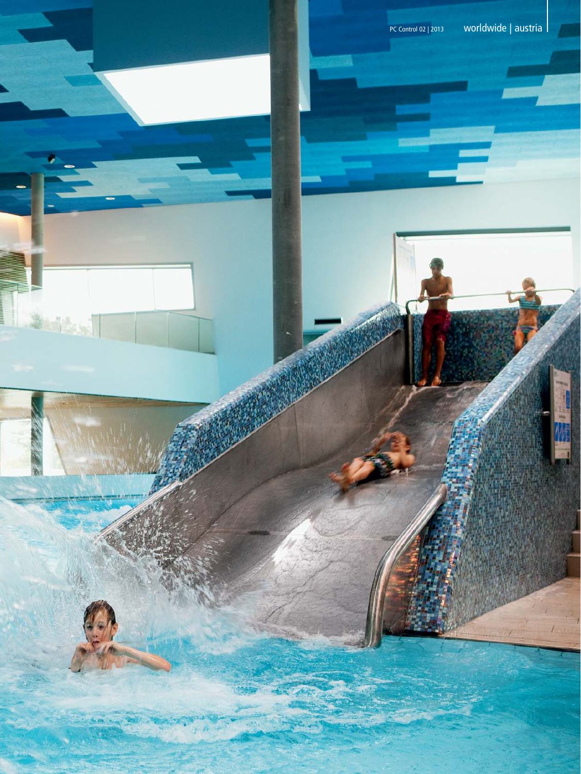المنظر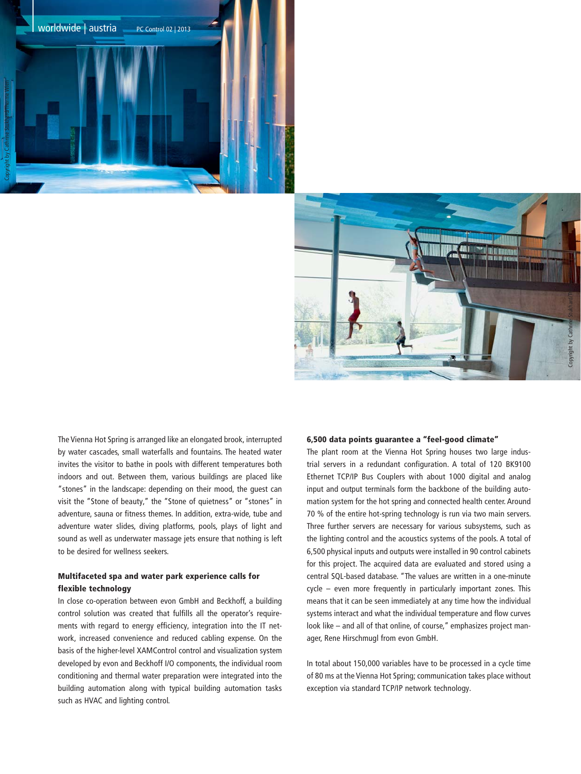



The Vienna Hot Spring is arranged like an elongated brook, interrupted by water cascades, small waterfalls and fountains. The heated water invites the visitor to bathe in pools with different temperatures both indoors and out. Between them, various buildings are placed like "stones" in the landscape: depending on their mood, the guest can visit the "Stone of beauty," the "Stone of quietness" or "stones" in adventure, sauna or fitness themes. In addition, extra-wide, tube and adventure water slides, diving platforms, pools, plays of light and sound as well as underwater massage jets ensure that nothing is left to be desired for wellness seekers.

## Multifaceted spa and water park experience calls for flexible technology

In close co-operation between evon GmbH and Beckhoff, a building control solution was created that fulfills all the operator's requirements with regard to energy efficiency, integration into the IT network, increased convenience and reduced cabling expense. On the basis of the higher-level XAMControl control and visualization system developed by evon and Beckhoff I/O components, the individual room conditioning and thermal water preparation were integrated into the building automation along with typical building automation tasks such as HVAC and lighting control.

## 6,500 data points guarantee a "feel-good climate"

The plant room at the Vienna Hot Spring houses two large industrial servers in a redundant configuration. A total of 120 BK9100 Ethernet TCP/IP Bus Couplers with about 1000 digital and analog input and output terminals form the backbone of the building automation system for the hot spring and connected health center. Around 70 % of the entire hot-spring technology is run via two main servers. Three further servers are necessary for various subsystems, such as the lighting control and the acoustics systems of the pools. A total of 6,500 physical inputs and outputs were installed in 90 control cabinets for this project. The acquired data are evaluated and stored using a central SQL-based database. "The values are written in a one-minute cycle – even more frequently in particularly important zones. This means that it can be seen immediately at any time how the individual systems interact and what the individual temperature and flow curves look like – and all of that online, of course," emphasizes project manager, Rene Hirschmugl from evon GmbH.

In total about 150,000 variables have to be processed in a cycle time of 80 ms at the Vienna Hot Spring; communication takes place without exception via standard TCP/IP network technology.